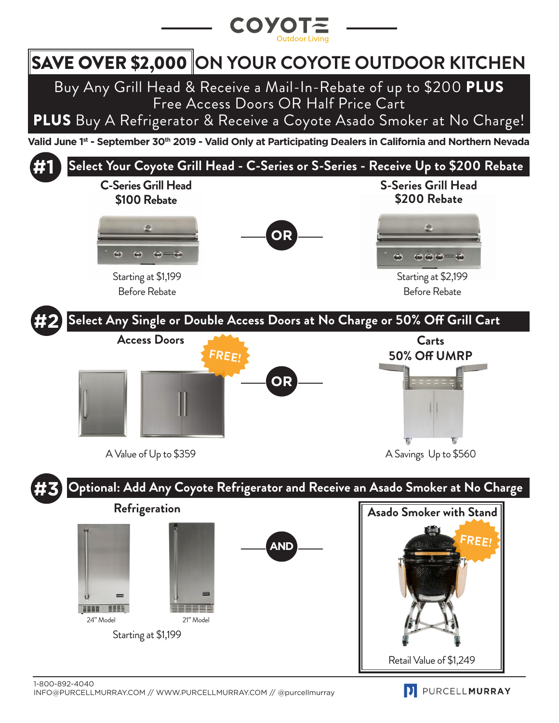